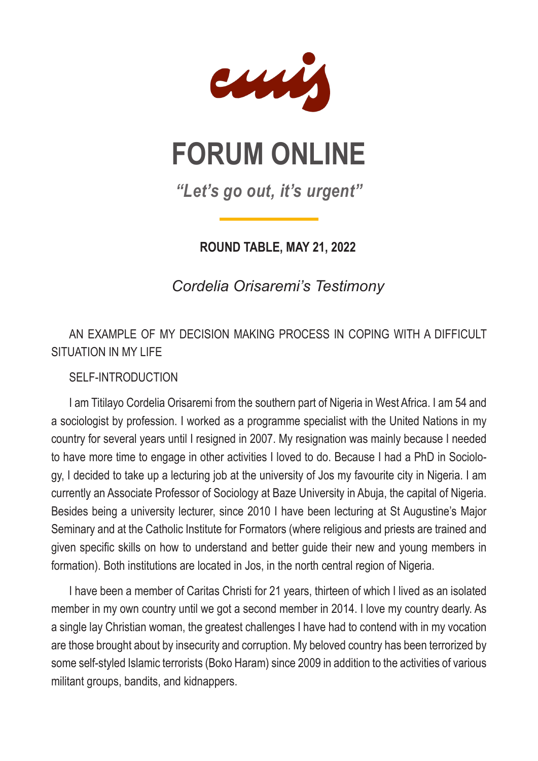

## **FORUM ONLINE**

*"Let's go out, it's urgent"*

**ROUND TABLE, MAY 21, 2022**

*Cordelia Orisaremi's Testimony*

AN EXAMPLE OF MY DECISION MAKING PROCESS IN COPING WITH A DIFFICULT SITUATION IN MY LIFE

SELF-INTRODUCTION

I am Titilayo Cordelia Orisaremi from the southern part of Nigeria in West Africa. I am 54 and a sociologist by profession. I worked as a programme specialist with the United Nations in my country for several years until I resigned in 2007. My resignation was mainly because I needed to have more time to engage in other activities I loved to do. Because I had a PhD in Sociology, I decided to take up a lecturing job at the university of Jos my favourite city in Nigeria. I am currently an Associate Professor of Sociology at Baze University in Abuja, the capital of Nigeria. Besides being a university lecturer, since 2010 I have been lecturing at St Augustine's Major Seminary and at the Catholic Institute for Formators (where religious and priests are trained and given specific skills on how to understand and better guide their new and young members in formation). Both institutions are located in Jos, in the north central region of Nigeria.

I have been a member of Caritas Christi for 21 years, thirteen of which I lived as an isolated member in my own country until we got a second member in 2014. I love my country dearly. As a single lay Christian woman, the greatest challenges I have had to contend with in my vocation are those brought about by insecurity and corruption. My beloved country has been terrorized by some self-styled Islamic terrorists (Boko Haram) since 2009 in addition to the activities of various militant groups, bandits, and kidnappers.